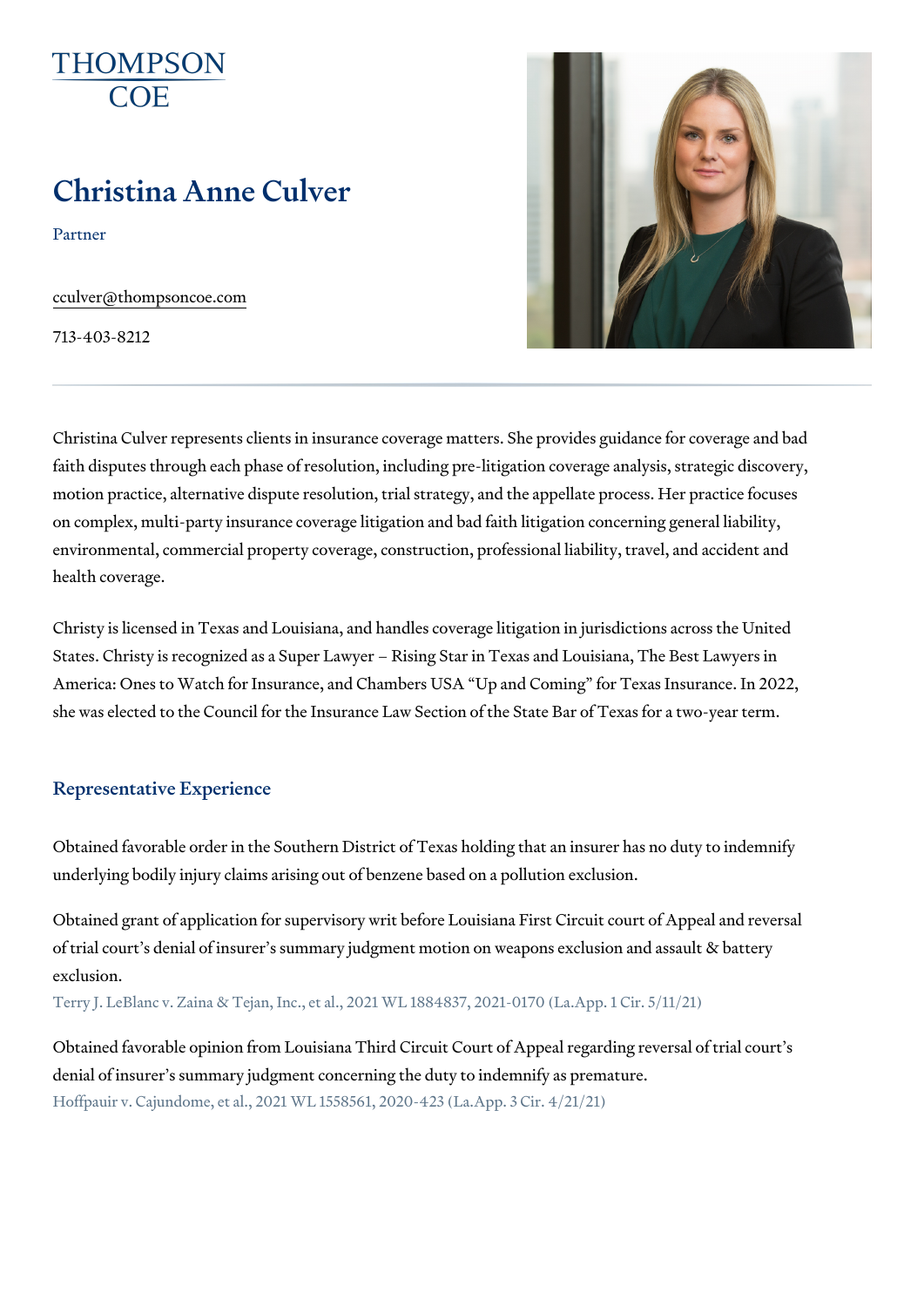# Christina Anne Culver

Partner

[cculver@thompso](mailto:cculver@thompsoncoe.com)ncoe.com

713-403-8212

Christina Culver represents clients in insurance coverage matters. She pro faith disputes through each phase of resolution, including pre-litigation co motion practice, alternative dispute resolution, trial strategy, and the appellate process. Here  $\alpha$ on complex, multi-party insurance coverage litigation and bad faith litigati environmental, commercial property coverage, construction, professional li health coverage.

Christy is licensed in Texas and Louisiana, and handles coverage litigation States. Christy is recognized as a Super Lawyer Rising Star in Texas and America: Ones to Watch for Insurance, and Chambers USA Up and Coming she was elected to the Council for the Insurance Law Section of the State

#### Representative Experience

Obtained favorable order in the Southern District of Texas holding that an underlying bodily injury claims arising out of benzene based on a pollution

Obtained grant of application for supervisory writ before Louisiana First C of trial court s denial of insurer s summary judgment motion on weapons eye exclusion.

Terry J. LeBlanc v. Zaina & Tejan, Inc., et al., 2021 WL 1884837, 2021-0170 (La

Obtained favorable opinion from Louisiana Third Circuit Court of Appeal re denial of insurer s summary judgment concerning the duty to indemnify as Hoffpauir v. Cajundome, et al., 2021 WL 1558561, 2020-423 (La.App. 3 Cir. 4/21/21)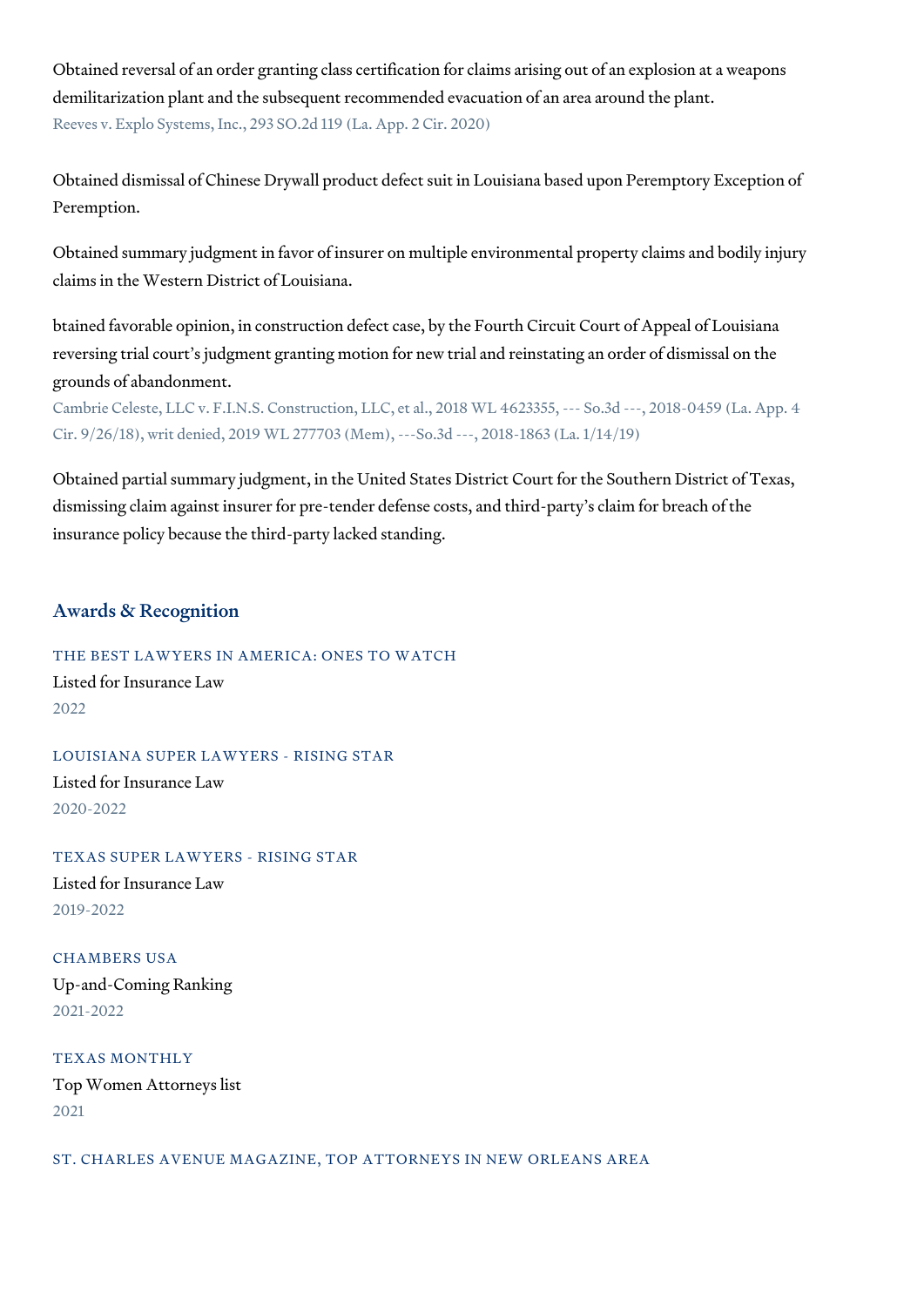Obtained reversal of an order granting class certification for claims arising out of an explosion at a weapons demilitarization plant and the subsequent recommended evacuation of an area around the plant. Reeves v. Explo Systems, Inc., 293 SO.2d 119 (La. App. 2 Cir. 2020)

Obtained dismissal of Chinese Drywall product defect suit in Louisiana based upon Peremptory Exception of Peremption.

Obtained summary judgment in favor of insurer on multiple environmental property claims and bodily injury claims in the Western District of Louisiana.

btained favorable opinion, in construction defect case, by the Fourth Circuit Court of Appeal of Louisiana reversing trial court's judgment granting motion for new trial and reinstating an order of dismissal on the grounds of abandonment.

Cambrie Celeste, LLC v. F.I.N.S. Construction, LLC, et al., 2018 WL 4623355, --- So.3d ---, 2018-0459 (La. App. 4 Cir. 9/26/18), writ denied, 2019 WL 277703 (Mem), ---So.3d ---, 2018-1863 (La. 1/14/19)

Obtained partial summary judgment, in the United States District Court for the Southern District of Texas, dismissing claim against insurer for pre-tender defense costs, and third-party's claim for breach of the insurance policy because the third-party lacked standing.

## Awards & Recognition

THE BEST LAWYERS IN AMERICA: ONES TO WATCH

Listed for Insurance Law 2022

LOUISIANA SUPER LAWYERS - RISING STAR

Listed for Insurance Law 2020-2022

TEXAS SUPER LAWYERS - RISING STAR

Listed for Insurance Law 2019-2022

CHAMBERS USA Up-and-Coming Ranking 2021-2022

TEXAS MONTHLY Top Women Attorneys list 2021

ST. CHARLES AVENUE MAGAZINE, TOP ATTORNEYS IN NEW ORLEANS AREA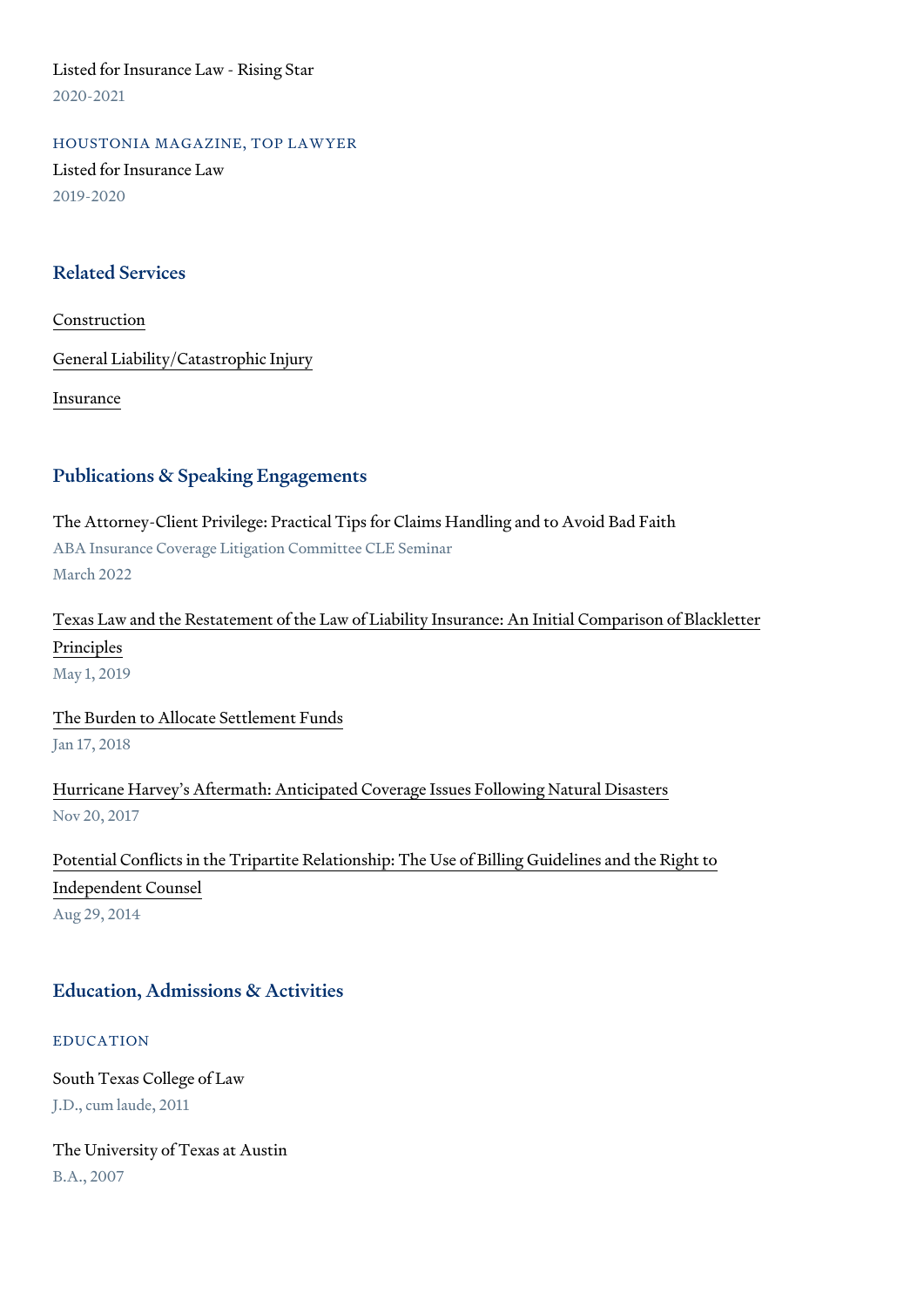Listed for Insurance Law - Rising Star 2020-2021

HOUSTONIA MAGAZINE, TOP LAWYER Listed for Insurance Law 2019-2020

#### Related Services

#### [Constru](https://www.thompsoncoe.com/people/christina-anne-culver/)ction

[General Liability/Catas](https://www.thompsoncoe.com/people/christina-anne-culver/)trophic Injury

[Insura](https://www.thompsoncoe.com/people/christina-anne-culver/)nce

#### Publications & Speaking Engagements

The Attorney-Client Privilege: Practical Tips for Claims Handling and to Av ABA Insurance Coverage Litigation Committee CLE Seminar March 2022

[Texas Law and the Restatement of the Law of Liability Insura](https://www.thompsoncoe.com/resources/publications/texas-law-and-the-restatement-of-the-law-of-liability-insurance-an-initial-comparison-of-blackletter-principles/)nce: An Initia [Princi](https://www.thompsoncoe.com/resources/publications/texas-law-and-the-restatement-of-the-law-of-liability-insurance-an-initial-comparison-of-blackletter-principles/)ples May 1, 2019

[The Burden to Allocate S](https://www.thompsoncoe.com/resources/publications/the-burden-to-allocate-settlement-funds/)ettlement Funds Jan 17, 2018

[Hurricane Harvey s Aftermath: Anticipated Coverage](https://www.thompsoncoe.com/resources/publications/hurricane-harveys-aftermath-anticipated-coverage-issues-following-natural-disasters/) Issues Following Natural Nov 20, 2017

[Potential Conflicts in the Tripartite Relationship: The Us](https://www.thompsoncoe.com/resources/publications/potential-conflicts-in-the-tripartite-relationship-the-use-of-billing-guidelines-and-the-right-to-independent-counsel/)e of Billing Guide [Independent](https://www.thompsoncoe.com/resources/publications/potential-conflicts-in-the-tripartite-relationship-the-use-of-billing-guidelines-and-the-right-to-independent-counsel/) Counsel

Aug 29, 2014

### Education, Admissions & Activities

#### EDUCATION

South Texas College of Law J.D., cum laude, 2011

The University of Texas at Austin B.A., 2007